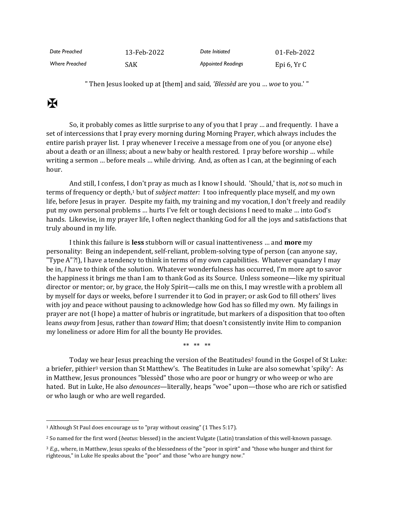| Date Preached  | 13-Feb-2022 | Date Initiated            | 01-Feb-2022  |
|----------------|-------------|---------------------------|--------------|
| Where Preached | SAK         | <b>Appointed Readings</b> | Epi $6, YrC$ |

" Then Jesus looked up at [them] and said, *'Blessèd* are you … *woe* to you.' "

## $\mathbf K$

So, it probably comes as little surprise to any of you that I pray … and frequently. I have a set of intercessions that I pray every morning during Morning Prayer, which always includes the entire parish prayer list. I pray whenever I receive a message from one of you (or anyone else) about a death or an illness; about a new baby or health restored. I pray before worship … while writing a sermon … before meals … while driving. And, as often as I can, at the beginning of each hour.

And still, I confess, I don't pray as much as I know I should. 'Should,' that is, *not* so much in terms of frequency or depth,<sup>1</sup> but of *subject matter:* I too infrequently place myself, and my own life, before Jesus in prayer. Despite my faith, my training and my vocation, I don't freely and readily put my own personal problems … hurts I've felt or tough decisions I need to make … into God's hands. Likewise, in my prayer life, I often neglect thanking God for all the joys and satisfactions that truly abound in my life.

I think this failure is **less** stubborn will or casual inattentiveness … and **more** my personality: Being an independent, self-reliant, problem-solving type of person (can anyone say, "Type A"?!), I have a tendency to think in terms of my own capabilities. Whatever quandary I may be in, *I* have to think of the solution. Whatever wonderfulness has occurred, I'm more apt to savor the happiness it brings me than I am to thank God as its Source. Unless someone—like my spiritual director or mentor; or, by grace, the Holy Spirit—calls me on this, I may wrestle with a problem all by myself for days or weeks, before I surrender it to God in prayer; or ask God to fill others' lives with joy and peace without pausing to acknowledge how God has so filled my own. My failings in prayer are not (I hope) a matter of hubris or ingratitude, but markers of a disposition that too often leans *away* from Jesus, rather than *toward* Him; that doesn't consistently invite Him to companion my loneliness or adore Him for all the bounty He provides.

\*\* \*\* \*\*

Today we hear Jesus preaching the version of the Beatitudes<sup>2</sup> found in the Gospel of St Luke: a briefer, pithier<sup>3</sup> version than St Matthew's. The Beatitudes in Luke are also somewhat 'spiky': As in Matthew, Jesus pronounces "blessèd" those who are poor or hungry or who weep or who are hated. But in Luke, He also *denounces*—literally, heaps "woe" upon—those who are rich or satisfied or who laugh or who are well regarded.

<sup>1</sup> Although St Paul does encourage us to "pray without ceasing" (1 Thes 5:17).

<sup>2</sup> So named for the first word (*beatus:* blessed) in the ancient Vulgate (Latin) translation of this well-known passage.

<sup>3</sup> *E.g.,* where, in Matthew, Jesus speaks of the blessedness of the "poor in spirit" and "those who hunger and thirst for righteous," in Luke He speaks about the "poor" and those "who are hungry now."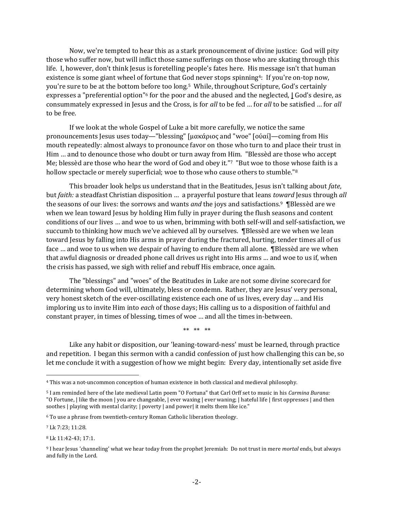Now, we're tempted to hear this as a stark pronouncement of divine justice: God will pity those who suffer now, but will inflict those same sufferings on those who are skating through this life. I, however, don't think Jesus is foretelling people's fates here. His message isn't that human existence is some giant wheel of fortune that God never stops spinning4: If you're on-top now, you're sure to be at the bottom before too long.5 While, throughout Scripture, God's certainly expresses a "preferential option"<sup>6</sup> for the poor and the abused and the neglected, **|** God's desire, as consummately expressed in Jesus and the Cross, is for *all* to be fed … for *all* to be satisfied … for *all* to be free.

If we look at the whole Gospel of Luke a bit more carefully, we notice the same pronouncements Jesus uses today—"blessing" [μακάριος and "woe" [οὐαί]—coming from His mouth repeatedly: almost always to pronounce favor on those who turn to and place their trust in Him … and to denounce those who doubt or turn away from Him. "Blessèd are those who accept Me; blessèd are those who hear the word of God and obey it."7 "But woe to those whose faith is a hollow spectacle or merely superficial; woe to those who cause others to stumble."<sup>8</sup>

This broader look helps us understand that in the Beatitudes, Jesus isn't talking about *fate*, but *faith:* a steadfast Christian disposition … a prayerful posture that leans *toward* Jesus through *all* the seasons of our lives: the sorrows and wants *and* the joys and satisfactions.<sup>9</sup> ¶Blessèd are we when we lean toward Jesus by holding Him fully in prayer during the flush seasons and content conditions of our lives … and woe to us when, brimming with both self-will and self-satisfaction, we succumb to thinking how much we've achieved all by ourselves. ¶Blessèd are we when we lean toward Jesus by falling into His arms in prayer during the fractured, hurting, tender times all of us face … and woe to us when we despair of having to endure them all alone. ¶Blessèd are we when that awful diagnosis or dreaded phone call drives us right into His arms … and woe to us if, when the crisis has passed, we sigh with relief and rebuff His embrace, once again.

The "blessings" and "woes" of the Beatitudes in Luke are not some divine scorecard for determining whom God will, ultimately, bless or condemn. Rather, they are Jesus' very personal, very honest sketch of the ever-oscillating existence each one of us lives, every day … and His imploring us to invite Him into *each* of those days; His calling us to a disposition of faithful and constant prayer, in times of blessing, times of woe … and all the times in-between.

\*\* \*\* \*\*

Like any habit or disposition, our 'leaning-toward-ness' must be learned, through practice and repetition. I began this sermon with a candid confession of just how challenging this can be, so let me conclude it with a suggestion of how we might begin: Every day, intentionally set aside five

<sup>7</sup> Lk 7:23; 11:28.

<sup>4</sup> This was a not-uncommon conception of human existence in both classical and medieval philosophy.

<sup>5</sup> I am reminded here of the late medieval Latin poem "O Fortuna" that Carl Orff set to music in his *Carmina Burana:* "O Fortune, | like the moon | you are changeable, | ever waxing | ever waning; | hateful life | first oppresses | and then soothes | playing with mental clarity; | poverty | and power| it melts them like ice."

<sup>6</sup> To use a phrase from twentieth-century Roman Catholic liberation theology.

<sup>8</sup> Lk 11:42-43; 17:1.

<sup>9</sup> I hear Jesus 'channeling' what we hear today from the prophet Jeremiah: Do not trust in mere *mortal* ends, but always and fully in the Lord.